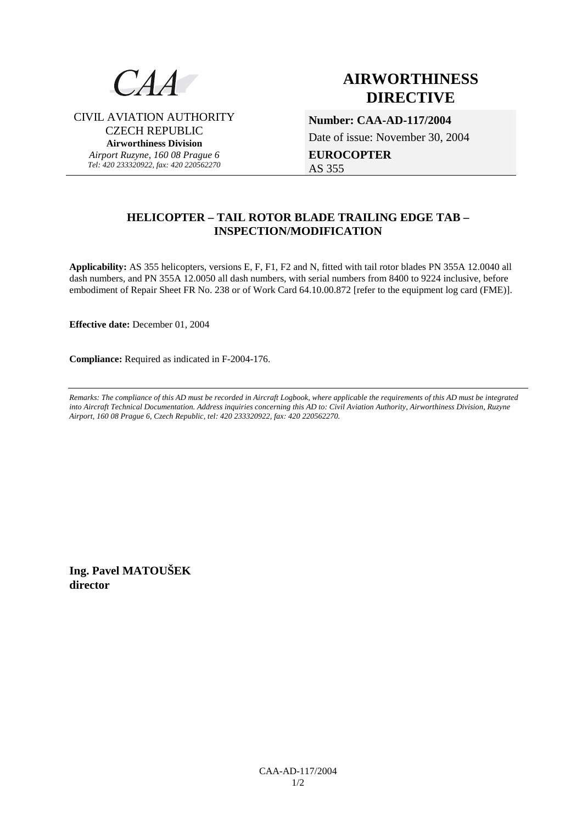

CIVIL AVIATION AUTHORITY CZECH REPUBLIC **Airworthiness Division**  *Airport Ruzyne, 160 08 Prague 6 Tel: 420 233320922, fax: 420 220562270*

# **AIRWORTHINESS DIRECTIVE**

**Number: CAA-AD-117/2004**  Date of issue: November 30, 2004

**EUROCOPTER**  AS 355

## **HELICOPTER – TAIL ROTOR BLADE TRAILING EDGE TAB – INSPECTION/MODIFICATION**

**Applicability:** AS 355 helicopters, versions E, F, F1, F2 and N, fitted with tail rotor blades PN 355A 12.0040 all dash numbers, and PN 355A 12.0050 all dash numbers, with serial numbers from 8400 to 9224 inclusive, before embodiment of Repair Sheet FR No. 238 or of Work Card 64.10.00.872 [refer to the equipment log card (FME)].

**Effective date:** December 01, 2004

**Compliance:** Required as indicated in F-2004-176.

*Remarks: The compliance of this AD must be recorded in Aircraft Logbook, where applicable the requirements of this AD must be integrated into Aircraft Technical Documentation. Address inquiries concerning this AD to: Civil Aviation Authority, Airworthiness Division, Ruzyne Airport, 160 08 Prague 6, Czech Republic, tel: 420 233320922, fax: 420 220562270.* 

**Ing. Pavel MATOUŠEK director**